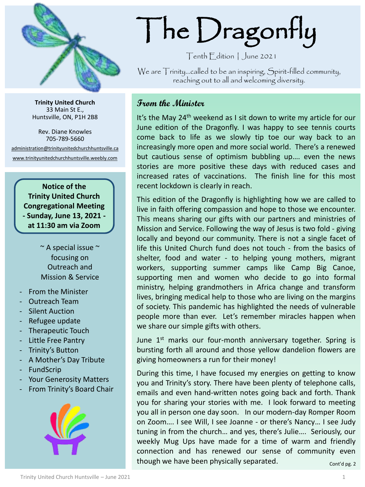

**Trinity United Church** 33 Main St E., Huntsville, ON, P1H 2B8

Rev. Diane Knowles 705-789-5660

[administration@trinityunitedchurchhuntsville.ca](mailto:administration@trinityunitedchurchhuntsville.ca) [www.trinityunitedchurchhuntsville.weebly.com](http://www.trinityunitedchurchhuntsville.weebly.com/)

> **Notice of the Trinity United Church Congregational Meeting - Sunday, June 13, 2021 at 11:30 am via Zoom**

> > ~ A special issue ~ focusing on Outreach and Mission & Service

- From the Minister
- Outreach Team
- Silent Auction
- Refugee update
- Therapeutic Touch
- Little Free Pantry
- Trinity's Button
- A Mother's Day Tribute
- **FundScrip**
- Your Generosity Matters
- From Trinity's Board Chair



# The Dragonfly

Tenth Edition | June 2021

We are Trinity…called to be an inspiring, Spirit-filled community, reaching out to all and welcoming diversity.

## **From the Minister**

It's the May 24<sup>th</sup> weekend as I sit down to write my article for our June edition of the Dragonfly. I was happy to see tennis courts come back to life as we slowly tip toe our way back to an increasingly more open and more social world. There's a renewed but cautious sense of optimism bubbling up…. even the news stories are more positive these days with reduced cases and increased rates of vaccinations. The finish line for this most recent lockdown is clearly in reach.

This edition of the Dragonfly is highlighting how we are called to live in faith offering compassion and hope to those we encounter. This means sharing our gifts with our partners and ministries of Mission and Service. Following the way of Jesus is two fold - giving locally and beyond our community. There is not a single facet of life this United Church fund does not touch - from the basics of shelter, food and water - to helping young mothers, migrant workers, supporting summer camps like Camp Big Canoe, supporting men and women who decide to go into formal ministry, helping grandmothers in Africa change and transform lives, bringing medical help to those who are living on the margins of society. This pandemic has highlighted the needs of vulnerable people more than ever. Let's remember miracles happen when we share our simple gifts with others.

June 1<sup>st</sup> marks our four-month anniversary together. Spring is bursting forth all around and those yellow dandelion flowers are giving homeowners a run for their money!

During this time, I have focused my energies on getting to know you and Trinity's story. There have been plenty of telephone calls, emails and even hand-written notes going back and forth. Thank you for sharing your stories with me. I look forward to meeting you all in person one day soon. In our modern-day Romper Room on Zoom…. I see Will, I see Joanne - or there's Nancy… I see Judy tuning in from the church… and yes, there's Julie…. Seriously, our weekly Mug Ups have made for a time of warm and friendly connection and has renewed our sense of community even though we have been physically separated.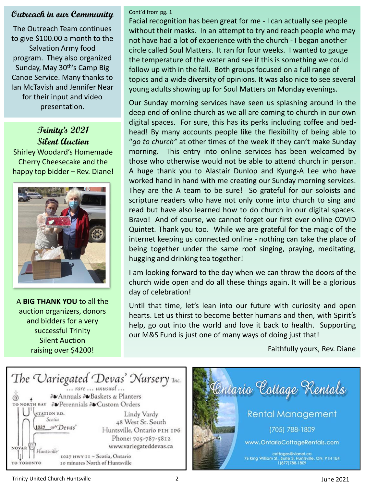## **Outreach in our Community**

The Outreach Team continues to give \$100.00 a month to the Salvation Army food program. They also organized Sunday, May 30<sup>th'</sup>s Camp Big Canoe Service. Many thanks to Ian McTavish and Jennifer Near for their input and video presentation.

# **Trinity's 2021 Silent Auction**

Shirley Woodard's Homemade Cherry Cheesecake and the happy top bidder – Rev. Diane!



A **BIG THANK YOU** to all the auction organizers, donors and bidders for a very successful Trinity Silent Auction raising over \$4200!

#### Cont'd from pg. 1

Facial recognition has been great for me - I can actually see people without their masks. In an attempt to try and reach people who may not have had a lot of experience with the church - I began another circle called Soul Matters. It ran for four weeks. I wanted to gauge the temperature of the water and see if this is something we could follow up with in the fall. Both groups focused on a full range of topics and a wide diversity of opinions. It was also nice to see several young adults showing up for Soul Matters on Monday evenings.

Our Sunday morning services have seen us splashing around in the deep end of online church as we all are coming to church in our own digital spaces. For sure, this has its perks including coffee and bedhead! By many accounts people like the flexibility of being able to "*go to church"* at other times of the week if they can't make Sunday morning. This entry into online services has been welcomed by those who otherwise would not be able to attend church in person. A huge thank you to Alastair Dunlop and Kyung-A Lee who have worked hand in hand with me creating our Sunday morning services. They are the A team to be sure! So grateful for our soloists and scripture readers who have not only come into church to sing and read but have also learned how to do church in our digital spaces. Bravo! And of course, we cannot forget our first ever online COVID Quintet. Thank you too. While we are grateful for the magic of the internet keeping us connected online - nothing can take the place of being together under the same roof singing, praying, meditating, hugging and drinking tea together!

I am looking forward to the day when we can throw the doors of the church wide open and do all these things again. It will be a glorious day of celebration!

Until that time, let's lean into our future with curiosity and open hearts. Let us thirst to become better humans and then, with Spirit's help, go out into the world and love it back to health. Supporting our M&S Fund is just one of many ways of doing just that!

Faithfully yours, Rev. Diane



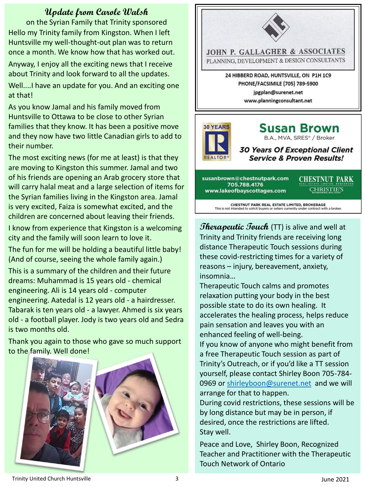## **Update from Carole Walsh**

on the Syrian Family that Trinity sponsored Hello my Trinity family from Kingston. When I left Huntsville my well-thought-out plan was to return once a month. We know how that has worked out.

Anyway, I enjoy all the exciting news that I receive about Trinity and look forward to all the updates.

Well....I have an update for you. And an exciting one at that!

As you know Jamal and his family moved from Huntsville to Ottawa to be close to other Syrian families that they know. It has been a positive move and they now have two little Canadian girls to add to their number.

The most exciting news (for me at least) is that they are moving to Kingston this summer. Jamal and two of his friends are opening an Arab grocery store that will carry halal meat and a large selection of items for the Syrian families living in the Kingston area. Jamal is very excited, Faiza is somewhat excited, and the children are concerned about leaving their friends.

I know from experience that Kingston is a welcoming city and the family will soon learn to love it.

The fun for me will be holding a beautiful little baby! (And of course, seeing the whole family again.)

This is a summary of the children and their future dreams: Muhammad is 15 years old - chemical engineering. Ali is 14 years old - computer engineering. Aatedal is 12 years old - a hairdresser. Tabarak is ten years old - a lawyer. Ahmed is six years old - a football player. Jody is two years old and Sedra is two months old.

Thank you again to those who gave so much support to the family. Well done!





susanbrown@chestnutpark.com 705.788.4176 www.lakeofbayscottages.com

**CHESTNUT PARK CHRISTIE'S** 

CHESTNUT PARK REAL ESTATE LIMITED, BROKERAGE<br>This is not intended to solicit buyers or sellers currently under contract with a broker.

**Therapeutic Touch** (TT) is alive and well at Trinity and Trinity friends are receiving long distance Therapeutic Touch sessions during these covid-restricting times for a variety of reasons – injury, bereavement, anxiety, insomnia…

Therapeutic Touch calms and promotes relaxation putting your body in the best possible state to do its own healing. It accelerates the healing process, helps reduce pain sensation and leaves you with an enhanced feeling of well-being.

If you know of anyone who might benefit from a free Therapeutic Touch session as part of Trinity's Outreach, or if you'd like a TT session yourself, please contact Shirley Boon 705-784 0969 or [shirleyboon@surenet.net](mailto:shirleyboon@surenet.net) and we will arrange for that to happen.

During covid restrictions, these sessions will be by long distance but may be in person, if desired, once the restrictions are lifted. Stay well.

Peace and Love, Shirley Boon, Recognized Teacher and Practitioner with the Therapeutic Touch Network of Ontario

#### Trinity United Church Huntsville **3** 3 3 3 3 3 4 June 2021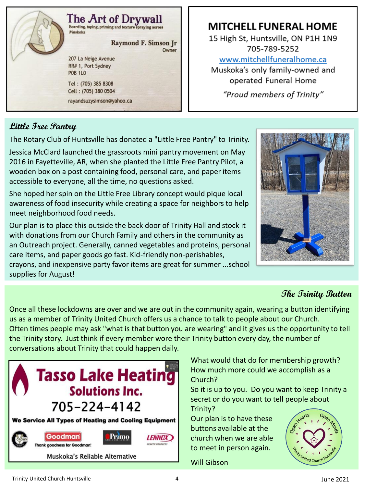

# **MITCHELL FUNERAL HOME**

15 High St, Huntsville, ON P1H 1N9 705-789-5252 www.mitchellfuneralhome.ca Muskoka's only family-owned and operated Funeral Home "Proud members of Trinity"

# **Little Free Pantry**

The Rotary Club of Huntsville has donated a "Little Free Pantry" to Trinity.

Jessica McClard launched the grassroots mini pantry movement on May 2016 in Fayetteville, AR, when she planted the Little Free Pantry Pilot, a wooden box on a post containing food, personal care, and paper items accessible to everyone, all the time, no questions asked.

She hoped her spin on the Little Free Library concept would pique local awareness of food insecurity while creating a space for neighbors to help meet neighborhood food needs.

Our plan is to place this outside the back door of Trinity Hall and stock it with donations from our Church Family and others in the community as an Outreach project. Generally, canned vegetables and proteins, personal care items, and paper goods go fast. Kid-friendly non-perishables, crayons, and inexpensive party favor items are great for summer ...school supplies for August!



# **The Trinity Button**

Once all these lockdowns are over and we are out in the community again, wearing a button identifying us as a member of Trinity United Church offers us a chance to talk to people about our Church. Often times people may ask "what is that button you are wearing" and it gives us the opportunity to tell the Trinity story. Just think if every member wore their Trinity button every day, the number of conversations about Trinity that could happen daily.



What would that do for membership growth? How much more could we accomplish as a Church?

So it is up to you. Do you want to keep Trinity a secret or do you want to tell people about Trinity?

Our plan is to have these buttons available at the church when we are able to meet in person again.

Will Gibson

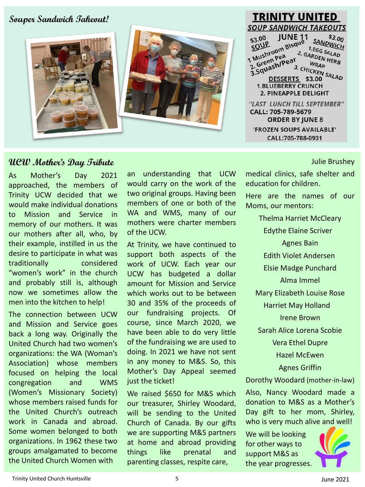**Souper Sandwich Takeout!**



#### **TRINITY UNITED SOUP SANDWICH TAKEOUTS JUNE 11** SANDWICH  $$3.00$  $$3.00$  JUNE 11<br> $$50^{10}$ <br>1 Mushroom Bisque<br>1 Mushroom Bisque<br>1 Green Preact 2 G **1.EGG SALAD** 1 Mushroom<br>2. Green Pea <sup>2.</sup> GARDEN HERB Mushropea<br>2. Green Pear<br>3. Squash/Pear<br>1. DESSEPTS **WRAP** 3. CHICKEN SALAD<br>TS \$3.00 SALAD DESSERTS \$3.00 **1.BLUEBERRY CRUNCH** 2. PINEAPPLE DELIGHT "LAST LUNCH TILL SEPTEMBER" CALL: 705-789-5679 **ORDER BY JUNE 8** 'FROZEN SOUPS AVAILABLE' CALL:705-788-0931

## **UCW Mother's Day Tribute**

As Mother's Day 2021 approached, the members of Trinity UCW decided that we would make individual donations to Mission and Service in memory of our mothers. It was our mothers after all, who, by their example, instilled in us the desire to participate in what was traditionally considered "women's work" in the church and probably still is, although now we sometimes allow the men into the kitchen to help!

The connection between UCW and Mission and Service goes back a long way. Originally the United Church had two women's organizations: the WA (Woman's Association) whose members focused on helping the local congregation and WMS (Women's Missionary Society) whose members raised funds for the United Church's outreach work in Canada and abroad. Some women belonged to both organizations. In 1962 these two groups amalgamated to become the United Church Women with

an understanding that UCW would carry on the work of the two original groups. Having been members of one or both of the WA and WMS, many of our mothers were charter members of the UCW.

At Trinity, we have continued to support both aspects of the work of UCW. Each year our UCW has budgeted a dollar amount for Mission and Service which works out to be between 30 and 35% of the proceeds of our fundraising projects. Of course, since March 2020, we have been able to do very little of the fundraising we are used to doing. In 2021 we have not sent in any money to M&S. So, this Mother's Day Appeal seemed just the ticket!

We raised \$650 for M&S which our treasurer, Shirley Woodard, will be sending to the United Church of Canada. By our gifts we are supporting M&S partners at home and abroad providing things like prenatal and parenting classes, respite care,

Julie Brushey

medical clinics, safe shelter and education for children.

Here are the names of our Moms, our mentors:

Thelma Harriet McCleary Edythe Elaine Scriver Agnes Bain Edith Violet Andersen Elsie Madge Punchard Alma Immel Mary Elizabeth Louise Rose Harriet May Holland Irene Brown Sarah Alice Lorena Scobie Vera Ethel Dupre Hazel McEwen Agnes Griffin Dorothy Woodard (mother-in-law)

Also, Nancy Woodard made a donation to M&S as a Mother's Day gift to her mom, Shirley, who is very much alive and well!

We will be looking for other ways to support M&S as the year progresses.

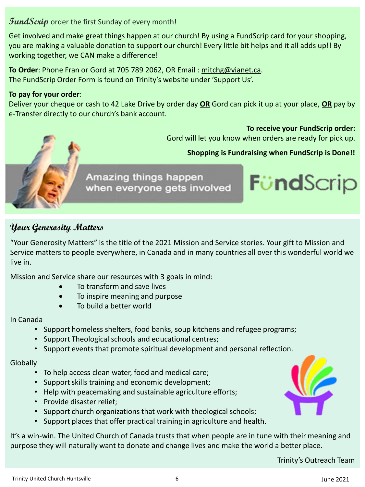## FundScrip order the first Sunday of every month!

Get involved and make great things happen at our church! By using a FundScrip card for your shopping, you are making a valuable donation to support our church! Every little bit helps and it all adds up!! By working together, we CAN make a difference!

**To Order**: Phone Fran or Gord at 705 789 2062, OR Email : [mitchg@vianet.ca](mailto:mitchg@vianet.ca). The FundScrip Order Form is found on Trinity's website under 'Support Us'.

## **To pay for your order**:

Deliver your cheque or cash to 42 Lake Drive by order day **OR** Gord can pick it up at your place, **OR** pay by e-Transfer directly to our church's bank account.

**To receive your FundScrip order:**

**FündScrip** 

Gord will let you know when orders are ready for pick up.



Amazing things happen when everyone gets involved

# **Your Generosity Matters**

"Your Generosity Matters" is the title of the 2021 Mission and Service stories. Your gift to Mission and Service matters to people everywhere, in Canada and in many countries all over this wonderful world we live in.

Mission and Service share our resources with 3 goals in mind:

- To transform and save lives
- To inspire meaning and purpose
- To build a better world

## In Canada

- Support homeless shelters, food banks, soup kitchens and refugee programs;
- Support Theological schools and educational centres;
- Support events that promote spiritual development and personal reflection.

## **Globally**

- To help access clean water, food and medical care;
- Support skills training and economic development;
- Help with peacemaking and sustainable agriculture efforts;
- Provide disaster relief;
- Support church organizations that work with theological schools;
- Support places that offer practical training in agriculture and health.

It's a win-win. The United Church of Canada trusts that when people are in tune with their meaning and purpose they will naturally want to donate and change lives and make the world a better place.

Trinity's Outreach Team